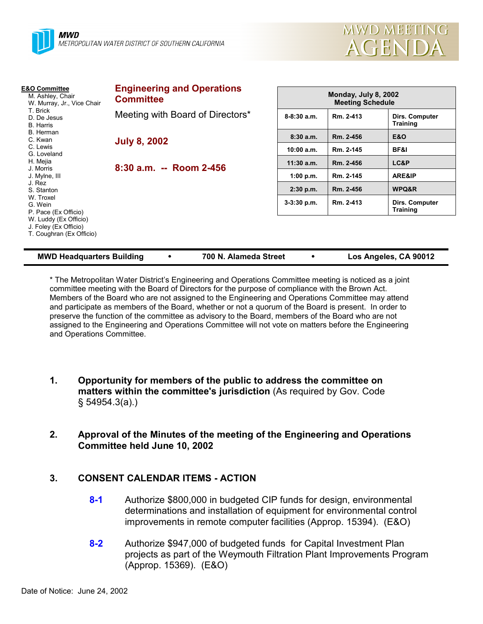



| <b>E&amp;O Committee</b><br>M. Ashley, Chair<br>W. Murray, Jr., Vice Chair<br>T. Brick<br>D. De Jesus<br>B. Harris<br>B. Herman<br>C. Kwan<br>C. Lewis<br>G. Loveland            | <b>Engineering and Operations</b><br><b>Committee</b> | Monday, July 8, 2002<br><b>Meeting Schedule</b> |           |                                   |
|----------------------------------------------------------------------------------------------------------------------------------------------------------------------------------|-------------------------------------------------------|-------------------------------------------------|-----------|-----------------------------------|
|                                                                                                                                                                                  | Meeting with Board of Directors*                      | $8 - 8:30$ a.m.                                 | Rm. 2-413 | Dirs. Computer<br>Training        |
|                                                                                                                                                                                  | <b>July 8, 2002</b>                                   | 8:30a.m.                                        | Rm. 2-456 | <b>E&amp;O</b>                    |
|                                                                                                                                                                                  |                                                       | 10:00 a.m.                                      | Rm. 2-145 | BF&I                              |
| H. Mejia                                                                                                                                                                         | 8:30 a.m. -- Room 2-456                               | $11:30$ a.m.                                    | Rm. 2-456 | LC&P                              |
| J. Morris<br>J. Mylne, III<br>J. Rez<br>S. Stanton<br>W. Troxel<br>G. Wein<br>P. Pace (Ex Officio)<br>W. Luddy (Ex Officio)<br>J. Foley (Ex Officio)<br>T. Coughran (Ex Officio) |                                                       | 1:00 p.m.                                       | Rm. 2-145 | ARE&IP                            |
|                                                                                                                                                                                  |                                                       | $2:30$ p.m.                                     | Rm. 2-456 | WPQ&R                             |
|                                                                                                                                                                                  |                                                       | $3-3:30$ p.m.                                   | Rm. 2-413 | Dirs. Computer<br><b>Training</b> |
|                                                                                                                                                                                  |                                                       |                                                 |           |                                   |

| <b>MWD Headquarters Building</b> |  |
|----------------------------------|--|
|----------------------------------|--|

**MMB 100 N. Alameda Street <b>100 CO Los Angeles, CA 90012** 

\* The Metropolitan Water Districtís Engineering and Operations Committee meeting is noticed as a joint committee meeting with the Board of Directors for the purpose of compliance with the Brown Act. Members of the Board who are not assigned to the Engineering and Operations Committee may attend and participate as members of the Board, whether or not a quorum of the Board is present. In order to preserve the function of the committee as advisory to the Board, members of the Board who are not assigned to the Engineering and Operations Committee will not vote on matters before the Engineering and Operations Committee.

- **1. Opportunity for members of the public to address the committee on matters within the committee's jurisdiction** (As required by Gov. Code ß 54954.3(a).)
- **2. Approval of the Minutes of the meeting of the Engineering and Operations Committee held June 10, 2002**

## **3. CONSENT CALENDAR ITEMS - ACTION**

- **8-1** Authorize \$800,000 in budgeted CIP funds for design, environmental determinations and installation of equipment for environmental control improvements in remote computer facilities (Approp. 15394). (E&O)
- **8-2** Authorize \$947,000 of budgeted funds for Capital Investment Plan projects as part of the Weymouth Filtration Plant Improvements Program (Approp. 15369). (E&O)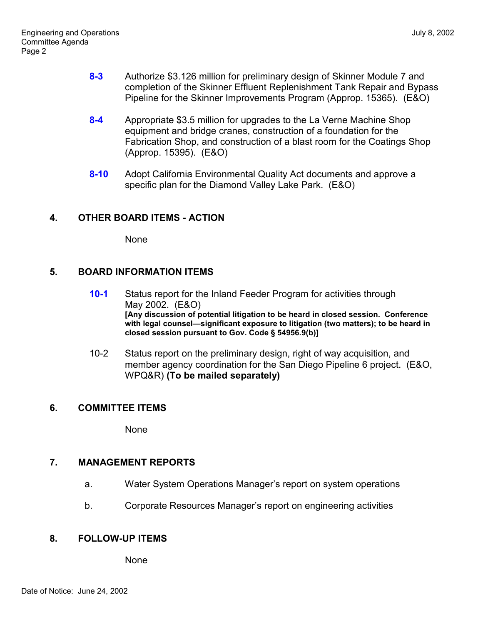- **8-3** Authorize \$3.126 million for preliminary design of Skinner Module 7 and completion of the Skinner Effluent Replenishment Tank Repair and Bypass Pipeline for the Skinner Improvements Program (Approp. 15365). (E&O)
- **8-4** Appropriate \$3.5 million for upgrades to the La Verne Machine Shop equipment and bridge cranes, construction of a foundation for the Fabrication Shop, and construction of a blast room for the Coatings Shop (Approp. 15395). (E&O)
- **8-10** Adopt California Environmental Quality Act documents and approve a specific plan for the Diamond Valley Lake Park. (E&O)

# **4. OTHER BOARD ITEMS - ACTION**

None

## **5. BOARD INFORMATION ITEMS**

- **10-1** Status report for the Inland Feeder Program for activities through May 2002. (E&O) **[Any discussion of potential litigation to be heard in closed session. Conference** with legal counsel-significant exposure to litigation (two matters); to be heard in **closed session pursuant to Gov. Code ß 54956.9(b)]**
- 10-2 Status report on the preliminary design, right of way acquisition, and member agency coordination for the San Diego Pipeline 6 project. (E&O, WPQ&R) **(To be mailed separately)**

## **6. COMMITTEE ITEMS**

None

## **7. MANAGEMENT REPORTS**

- a. Water System Operations Managerís report on system operations
- b. Corporate Resources Manager's report on engineering activities

## **8. FOLLOW-UP ITEMS**

None